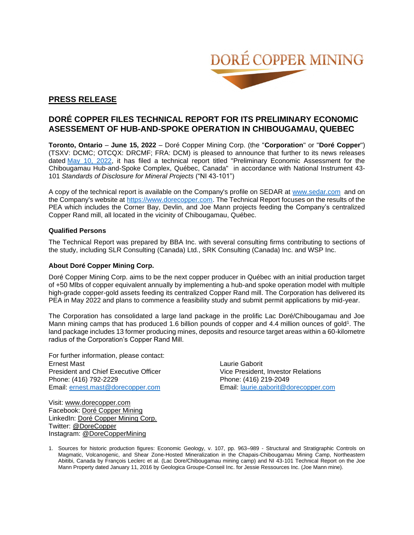

# **PRESS RELEASE**

# **DORÉ COPPER FILES TECHNICAL REPORT FOR ITS PRELIMINARY ECONOMIC ASESSEMENT OF HUB-AND-SPOKE OPERATION IN CHIBOUGAMAU, QUEBEC**

**Toronto, Ontario** – **June 15, 2022** – Doré Copper Mining Corp. (the "**Corporation**" or "**Doré Copper**") (TSXV: DCMC; OTCQX: DRCMF; FRA: DCM) is pleased to announce that further to its news releases dated [May 10, 2022,](https://www.dorecopper.com/en/news-releases/dore-copper-announces-positive-preliminary-economic-assessment-for-restarting-chibougamau-mining-camp/) it has filed a technical report titled "Preliminary Economic Assessment for the Chibougamau Hub-and-Spoke Complex, Québec, Canada" in accordance with National Instrument 43- 101 *Standards of Disclosure for Mineral Projects* ("NI 43-101")

A copy of the technical report is available on the Company's profile on SEDAR at [www.sedar.com](http://www.sedar.com/) and on the Company's website at [https://www.dorecopper.com.](https://www.dorecopper.com/en/projects/technical-reports/) The Technical Report focuses on the results of the PEA which includes the Corner Bay, Devlin, and Joe Mann projects feeding the Company's centralized Copper Rand mill, all located in the vicinity of Chibougamau, Québec.

### **Qualified Persons**

The Technical Report was prepared by BBA Inc. with several consulting firms contributing to sections of the study, including SLR Consulting (Canada) Ltd., SRK Consulting (Canada) Inc. and WSP Inc.

### **About Doré Copper Mining Corp.**

Doré Copper Mining Corp. aims to be the next copper producer in Québec with an initial production target of +50 Mlbs of copper equivalent annually by implementing a hub-and spoke operation model with multiple high-grade copper-gold assets feeding its centralized Copper Rand mill. The Corporation has delivered its PEA in May 2022 and plans to commence a feasibility study and submit permit applications by mid-year.

The Corporation has consolidated a large land package in the prolific Lac Doré/Chibougamau and Joe Mann mining camps that has produced 1.6 billion pounds of copper and 4.4 million ounces of gold<sup>1</sup>. The land package includes 13 former producing mines, deposits and resource target areas within a 60-kilometre radius of the Corporation's Copper Rand Mill.

For further information, please contact: Ernest Mast Laurie Gaborit President and Chief Executive Officer Vice President, Investor Relations Phone: (416) 792-2229 Phone: (416) 219-2049 Email: [ernest.mast@dorecopper.com](mailto:ernest.mast@dorecopper.com) Email: [laurie.gaborit@dorecopper.com](mailto:laurie.gaborit@dorecopper.com)

Visit: [www.dorecopper.com](http://www.dorecopper.com/) Facebook: [Doré Copper Mining](https://www.facebook.com/dorecoppermining) LinkedIn: [Doré Copper Mining Corp.](https://www.linkedin.com/company/dore-copper-mining) Twitter: [@DoreCopper](https://twitter.com/dorecopper) Instagram: [@DoreCopperMining](https://www.instagram.com/dorecoppermining/)

1. Sources for historic production figures: Economic Geology, v. 107, pp. 963–989 - Structural and Stratigraphic Controls on Magmatic, Volcanogenic, and Shear Zone-Hosted Mineralization in the Chapais-Chibougamau Mining Camp, Northeastern Abitibi, Canada by François Leclerc et al. (Lac Dore/Chibougamau mining camp) and NI 43-101 Technical Report on the Joe Mann Property dated January 11, 2016 by Geologica Groupe-Conseil Inc. for Jessie Ressources Inc. (Joe Mann mine).